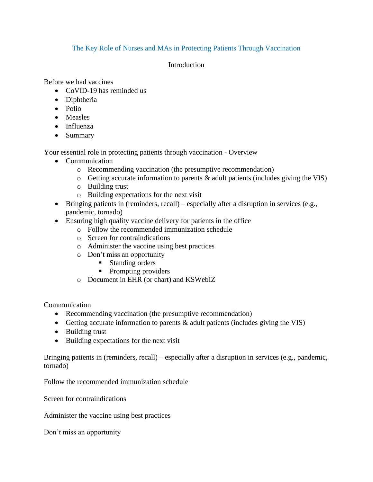## The Key Role of Nurses and MAs in Protecting Patients Through Vaccination

## Introduction

Before we had vaccines

- CoVID-19 has reminded us
- Diphtheria
- Polio
- Measles
- Influenza
- Summary

Your essential role in protecting patients through vaccination - Overview

- Communication
	- o Recommending vaccination (the presumptive recommendation)
	- $\circ$  Getting accurate information to parents & adult patients (includes giving the VIS)
	- o Building trust
	- o Building expectations for the next visit
- Bringing patients in (reminders, recall) especially after a disruption in services (e.g., pandemic, tornado)
- Ensuring high quality vaccine delivery for patients in the office
	- o Follow the recommended immunization schedule
	- o Screen for contraindications
	- o Administer the vaccine using best practices
	- o Don't miss an opportunity
		- Standing orders
		- Prompting providers
	- o Document in EHR (or chart) and KSWebIZ

Communication

- Recommending vaccination (the presumptive recommendation)
- Getting accurate information to parents  $\&$  adult patients (includes giving the VIS)
- Building trust
- Building expectations for the next visit

Bringing patients in (reminders, recall) – especially after a disruption in services (e.g., pandemic, tornado)

Follow the recommended immunization schedule

Screen for contraindications

Administer the vaccine using best practices

Don't miss an opportunity